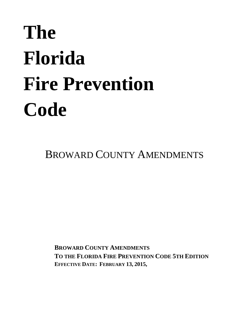# **The Florida Fire Prevention Code**

BROWARD COUNTY AMENDMENTS

**BROWARD COUNTY AMENDMENTS TO THE FLORIDA FIRE PREVENTION CODE 5TH EDITION EFFECTIVE DATE: FEBRUARY 13, 2015,**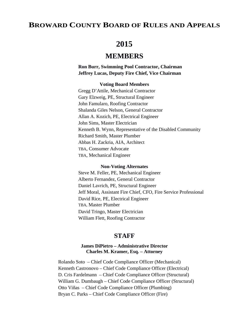# **BROWARD COUNTY BOARD OF RULES AND APPEALS**

# **2015**

# **MEMBERS**

**Ron Burr, Swimming Pool Contractor, Chairman Jeffrey Lucas, Deputy Fire Chief, Vice Chairman**

#### **Voting Board Members**

Gregg D'Attile, Mechanical Contractor Gary Elzweig, PE, Structural Engineer John Famularo, Roofing Contractor Shalanda Giles Nelson, General Contractor Allan A. Kozich, PE, Electrical Engineer John Sims, Master Electrician Kenneth B. Wynn, Representative of the Disabled Community Richard Smith, Master Plumber Abbas H. Zackria, AIA, Architect TBA, Consumer Advocate TBA, Mechanical Engineer

# **Non-Voting Alternates**

Steve M. Feller, PE, Mechanical Engineer Alberto Fernandez, General Contractor Daniel Lavrich, PE, Structural Engineer Jeff Moral, Assistant Fire Chief, CFO, Fire Service Professional David Rice, PE, Electrical Engineer TBA, Master Plumber David Tringo, Master Electrician William Flett, Roofing Contractor

# **STAFF**

# **James DiPietro – Administrative Director Charles M. Kramer, Esq. – Attorney**

Rolando Soto – Chief Code Compliance Officer (Mechanical) Kenneth Castronovo – Chief Code Compliance Officer (Electrical) D. Cris Fardelmann – Chief Code Compliance Officer (Structural) William G. Dumbaugh – Chief Code Compliance Officer (Structural) Otto Viñas – Chief Code Compliance Officer (Plumbing) Bryan C. Parks – Chief Code Compliance Officer (Fire)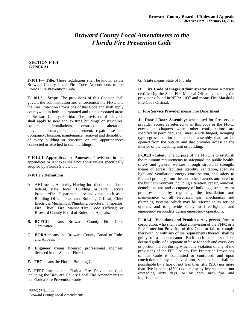# *Broward County Local Amendments to the Florida Fire Prevention Code*

#### **SECTION F-101 GENERAL**

**F-101.1**— **Title.** These regulations shall be known as the Broward County Local Fire Code Amendments to the Florida Fire Prevention Code.

**F- 101.2 - Scope.** The provisions of this Chapter shall govern the administration and enforcement the FFPC and the Fire Protection Provisions of this Code and shall apply countywide in both incorporated and unincorporated areas of Broward County, Florida. The provisions of this code shall apply to new and existing buildings or structures, equipment, installations, construction, alteration, movement, enlargement, replacement, repair, use and occupancy, location, maintenance, removal and demolition of every building or structure or any appurtenances connected or attached to such buildings.

**F-101.2.1 Appendices or Annexes:** Provisions in the appendices or Annexes shall not apply unless specifically adopted by Florida Statute 633.

#### **F-101.2.2 Definitions:**

- A. AHJ means Authority Having Jurisdiction shall be a federal, state, local (Building or Fire Service Provider/Fire Department , or individual such as a Building Official, assistant Building Official; Chief Electrical/Mechanical/Plumbing/Structural Inspector; Fire Chief; Fire Marshal/Fire Code Official; or Broward County Board of Rules and Appeals.
- **B. BCFCC** means Broward County Fire Code Committee
- **C. BORA** means the Broward County Board of Rules and Appeals
- **D. Engineer** means licensed professional engineer, licensed in the State of Florida
- **E. FBC** means the Florida Building Code

**F. FFPC** means the Florida Fire Prevention Code including the Broward County Local Fire Amendments to the Florida Fire Prevention Code

#### **G. State** means State of Florida

**H**. **Fire Code Manager/Administrator** means a person certified by the State Fire Marshal Office as meeting the provisions found in NFPA 1037 and means Fire Marshal / Fire Code Official.

#### **I. Fire Service Provider** means Fire Department

**J**. **Door / Door Assembly;** when used for fire service provider access as referred to in this code or the FFPC, except in chapters where other configurations are specifically permitted, shall mean a side hinged, swinging type egress exterior door / door assembly that can be opened from the outside and that provides access to the interior of the dwelling unit or building.

**F-101.3 - Intent**. The purpose of the FFPC is to establish the minimum requirements to safeguard the public health, safety and general welfare through structural strength, means of egress, facilities, stability, sanitation, adequate light and ventilation, energy conservation, and safety to life and property from fire and other hazards attributed to the built environment including alteration, repair, removal, demolition, use and occupancy of buildings, structures or premises, and by regulating the installation and maintenance of all electrical, gas, mechanical and plumbing systems, which may be referred to as service systems and to provide safety to fire fighters and emergency responders during emergency operations.

**F-101.4 - Violations and Penalties.** Any person, firm or corporation, who shall violate a provision of the FFPC or a Fire Protection Provision of this Code or fail to comply therewith, or with any of the requirements thereof, shall be guilty of a misdemeanor. Each such person shall be deemed guilty of a separate offense for each and every day or portion thereof during which any violation of any of the provisions of the FFPC or any Fire Protection Provisions of this Code is committed or continued, and upon conviction of any such violation, such person shall be punishable by a fine of not less than fifty (\$50) nor more than five hundred (\$500) dollars, or by imprisonment not exceeding sixty days, or by both such fine and imprisonment.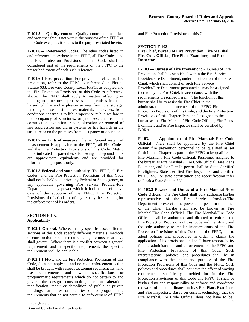**F-101.5--- Quality control.** Quality control of materials and workmanship is not within the purview of the FFPC or this Code except as it relates to the purposes stated herein.

**F-101.6--- Referenced Codes.** The other codes listed in and referenced elsewhere in the FFPC, all Fire Codes, and the Fire Protection Provisions of this Code shall be considered part of the requirements of the FFPC to the prescribed extent of each such reference.

**F-101.6.1 Fire prevention.** For provisions related to fire prevention, refer to the FFPC as referenced in Florida Statute 633, Broward County Local FFPCs as adopted and the Fire Protection Provisions of this Code as referenced above. The FFPC shall apply to matters affecting or relating to structures, processes and premises from the hazard of fire and explosion arising from the storage, handling or use of structures, materials or devices; from conditions hazardous to life, property or public welfare in the occupancy of structures, or premises; and from the construction, extension, repair, alteration or removal of fire suppression and alarm systems or fire hazards in the structure or on the premises from occupancy or operation.

**F-101.7** — **Units of measure.** The inch/pound system of measurement is applicable to the FFPC, all Fire Codes, and the Fire Protection Provisions of this Code. Metric units indicated in parenthesis following inch-pound units are approximate equivalents and are provided for informational purposes only.

**F-101.8 Federal and state authority.** The FFPC, all Fire Codes, and the Fire Protection Provisions of this Code shall not be held to deprive any Federal or State agency, or any applicable governing Fire Service Provider/Fire Department of any power which it had on the effective date of the adoption of the FFPC, Fire Protection Provisions of this Code, or of any remedy then existing for the enforcement of its orders.

#### **SECTION F-102 Applicability**

**F-102.1 General.** Where, in any specific case, different sections of this Code specify different materials, methods of construction or other requirements, the most restrictive shall govern. Where there is a conflict between a general requirement and a specific requirement, the specific requirement shall be applicable.

**F-102.1.1** FFPC and the Fire Protection Provisions of this Code, does not apply to, and no code enforcement action shall be brought with respect to, zoning requirements, land<br>use requirements and owner specifications or use requirements and owner specifications or programmatic requirements which do not pertain to and govern the design, construction, erection, alteration, modification, repair or demolition of public or private buildings, structures or facilities or to programmatic requirements that do not pertain to enforcement of, FFPC

and Fire Protection Provisions of this Code.

# **SECTION F-103**

#### **Fire Chief, Bureau of Fire Prevention, Fire Marshal, Fire Code Official, Fire Plans Examiner, and Fire Inspector**

**F- 103 — Bureau of Fire Prevention:** A Bureau of Fire Prevention shall be established within the Fire Service Provider/Fire Department, under the direction of the Fire Chief, which shall consist of such Fire Service Provider/Fire Department personnel as may be assigned thereto, by the Fire Chief, in accordance with the requirements prescribed herein. The function of this bureau shall be to assist the Fire Chief in the administration and enforcement of the FFPC, Fire Protection Provisions of this Code, and the Fire Protection Provisions of this Chapter. Personnel assigned to the bureau as the Fire Marshal / Fire Code Official, Fire Plans Examiner, and/or Fire Inspector shall be certified by BORA.

**F-103.1 — Appointmen**t o**f Fire Marshal/ Fire Code Official:** There shall be appointed by the Fire Chief certain fire prevention personnel to be qualified as set forth in this Chapter as part of the FFPC to be qualified as Fire Marshal / Fire Code Official. Personnel assigned to the bureau as Fire Marshal / Fire Code Official, Fire Plans Examiner, and / or Fire Inspector shall be State Certified Firefighters, State Certified Fire Inspectors, and certified by BORA. For state certification and recertification refer to Florida State Statute 633.

**F- 103.2 Powers and Duties of a Fire Marshal /Fire Code Official:** The Fire Chief shall duly authorize his/her representative of the Fire Service Provider/Fire Department to exercise the powers and perform the duties of the Chief. He/she shall also be known as Fire Marshal/Fire Code Official. The Fire Marshal/Fire Code Official shall be authorized and directed to enforce the Fire Protection Provisions of this Code and the FFPC, and the sole authority to render interpretations of the Fire Protection Provisions of this Code and the FFPC, and to adopt policies and procedures in order to clarify the application of its provisions, and shall have responsibility for the administration and enforcement of the FFPC and Fire Protection Provisions of this Code. Such interpretations, policies, and procedures shall be in compliance with the intent and purpose of the Fire Protection Provisions of this Code and the FFPC. Such policies and procedures shall not have the effect of waving requirements specifically provided for in the Fire Protection Provisions of this Code and FFPC. It shall be his/her duty and responsibility to enforce and coordinate the work of all subordinates such as Fire Plans Examiners and Fire Inspectors. Based on current technology that the Fire Marshal/Fire Code Official does not have to be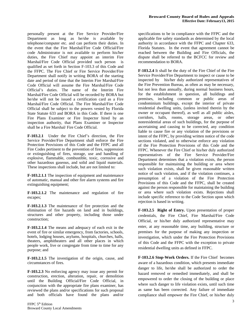personally present at the Fire Service Provider/Fire Department as long as he/she is available by telephone/computer etc. and can perform their duties. In the event that the Fire Marshal/Fire Code Official/Fire code Administrator is not available to perform his/her duties, the Fire Chief may appoint an interim Fire Marshal/Fire Code Official provided such person is qualified as set forth in Section F-103.3 of this Code and the FFPC. The Fire Chief or Fire Service Provider/Fire Department shall notify in writing BORA of the starting date and period of time that the Interim Fire Marshal/Fire Code Official will assume the Fire Marshal/Fire Code Official's duties. The name of the Interim Fire Marshal/Fire Code Official will be recorded by BORA but he/she will not be issued a certification card as a Fire Marshal/Fire Code Official. The Fire Marshal/Fire Code Official shall be subject to the powers vested by Florida State Statute 633 and BORA in this Code. If there is one Fire Plans Examiner or Fire Inspector hired by an inspection authority, that Plans Examiner or Inspector shall be a Fire Marshal/ Fire Code Official.

**F-103.2.1** Under the Fire Chief's direction, the Fire Service Provider/Fire Department shall enforce the Fire Protection Provisions of this Code and the FFPC and all Fire Codes pertinent to the prevention of fires, suppression or extinguishing of fires, storage, use and handling of explosive, flammable, combustible, toxic, corrosive and other hazardous gaseous, and solid and liquid materials. These inspections shall include, but are not limited to:

**F-103.2.1.1** The inspection of equipment and maintenance of automatic, manual and other fire alarm systems and fire extinguishing equipment;

**F-103.2.1.2** The maintenance and regulation of fire escapes;

**F-103.2.1.3** The maintenance of fire protection and the elimination of fire hazards on land and in buildings, structures and other property, including those under construction;

**F-103.2.1.4** The means and adequacy of each exit in the event of fire or similar emergency, from factories, schools, hotels, lodging houses, asylums, hospitals, churches, halls, theaters, amphitheaters and all other places in which people work, live or congregate from time to time for any purpose; and

**F-103.2.1.5** The investigation of the origin, cause, and circumstances of fires.

**F-103.2.3** No enforcing agency may issue any permit for construction, erection, alteration, repair, or demolition until the Building Official/Fire Code Official, in conjunction with the appropriate fire plans examiner, has reviewed the plans and/or specifications for such proposal and both officials have found the plans and/or specifications to be in compliance with the FFPC and the applicable fire safety standards as determined by the local authority in accordance with the FFPC and Chapter 633, Florida Statutes. In the event that agreement cannot be reached between the Building and Fire Officials, the dispute shall be referred to the BCFCC for review and recommendation to BORA.

**F-103.2.4** It shall be the duty of the Fire Chief of the Fire Service Provider/Fire Department to inspect or cause to be inspected by his/her duly authorized representatives of the Fire Prevention Bureau, as often as may be necessary, but not less than annually, during normal business hours, for the establishment in question, all buildings and premises, including common or public areas of condominium buildings, except the interior of private residential dwelling units, (unless invited therein by the owner or occupant thereof), as well as all public aisles, corridors, halls, rooms, storage areas, or other nonresidential areas of such buildings, for the purpose of ascertaining and causing to be corrected, any condition liable to cause fire or any violation of the provisions or intent of the FFPC, by providing written notice of the code sections violated, and to otherwise enforce any violation of the Fire Protection Provisions of this Code and the FFPC. Whenever the Fire Chief or his/her duly authorized representatives of the Fire Service Provider/Fire Department determines that a violation exists, the person responsible for maintaining the building or area where such violation exists, shall be given reasonable written notice of such violation, and if the violation continues, a presumption of a violation of the Fire Protection Provisions of this Code and the FFPC, shall be created against the person responsible for maintaining the building or area where such violation exists. Rejections shall include specific reference to the Code Section upon which rejection is based in writing.

**F-103.2.5 Right of Entry.** Upon presentation of proper credentials, the Fire Chief, Fire Marshal/Fire Code Official, or his/her duly authorized representative may enter, at any reasonable time, any building, structure or premises for the purpose of making any inspection or investigation, which under the Fire Protection Provisions of this Code and the FFPC with the exception to private residential dwelling units as defined in FFPC.

**F-103.2.6 Stop-Work Orders.** If the Fire Chief becomes aware of a hazardous condition, which presents immediate danger to life, he/she shall be authorized to order the hazard removed or remedied immediately, and shall be empowered to order the closing of the building or place where such danger to life violation exists, until such time as same has been corrected. Any failure of immediate compliance shall empower the Fire Chief, or his/her duly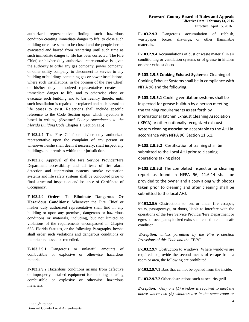authorized representative finding such hazardous condition creating immediate danger to life, to close such building or cause same to be closed and the people herein evacuated and barred from reentering until such time as such immediate danger to life has been corrected. The Fire Chief, or his/her duly authorized representative is given the authority to order any gas company, power company, or other utility company, to disconnect its service to any building or buildings containing gas or power installations, where such installations, in the opinion of the Fire Chief, or his/her duly authorized representative creates an immediate danger to life, and to otherwise close or evacuate such building and to bar reentry thereto, until such installation is repaired or replaced and such hazard to life ceases to exist. Rejections shall include specific reference to the Code Section upon which rejection is based in writing. *(Broward County Amendments to the Florida Building Code* Chapter 1, Section 115)

**F-103.2.7** The Fire Chief or his/her duly authorized representative upon the complaint of any person or whenever he/she shall deem it necessary, shall inspect any buildings and premises within their jurisdiction.

**F-103.2.8** Approval of the Fire Service Provider/Fire Department accessibility and all tests of fire alarm detection and suppression systems, smoke evacuation systems and life safety systems shall be conducted prior to final structural inspection and issuance of Certificate of Occupancy.

**F-103.2.9 Orders To Eliminate Dangerous Or Hazardous Conditions:** Whenever the Fire Chief or his/her duly authorized representative shall find in any building or upon any premises, dangerous or hazardous conditions or materials, including, but not limited to violations of the requirements encompassed in Chapter 633, Florida Statutes, or the following Paragraphs, he/she shall order such violations and dangerous conditions or materials removed or remedied.

**F-103.2.9.1** Dangerous or unlawful amounts of combustible or explosive or otherwise hazardous materials.

**F-103.2.9.2** Hazardous conditions arising from defective or improperly installed equipment for handling or using combustible or explosive or otherwise hazardous materials.

**F-103.2.9.3** Dangerous accumulation of rubbish, wastepaper, boxes, shavings, or other flammable materials.

**F-103.2.9.4** Accumulations of dust or waste material in air conditioning or ventilation systems or of grease in kitchen or other exhaust ducts.

**F‐103.2.9.5 Cooking Exhaust Systems:** Cleaning of Cooking Exhaust Systems shall be in compliance with NFPA 96 and the following.

**F‐103.2.9.5.1** Cooking ventilation systems shall be inspected for grease buildup by a person meeting the training requirements as set forth by International Kitchen Exhaust Cleaning Association (IKECA) or other nationally recognized exhaust system cleaning association acceptable to the AHJ in accordance with NFPA 96, Section 11.6.1.

**F‐103.2.9.5.2** Certification of training shall be submitted to the Local AHJ prior to cleaning operations taking place.

**F‐103.2.9.5.3** The completed inspection or cleaning report as found in NFPA 96, 11.6.14 shall be provided to the owner and a copy along with photos taken prior to cleaning and after cleaning shall be submitted to the local AHJ.

**F-103.2.9**.**6** Obstructions to, on, or under fire escapes, stairs, passageways, or doors, liable to interfere with the operations of the Fire Service Provider/Fire Department or egress of occupants; locked exits shall constitute an unsafe condition.

*Exception: unless permitted by the Fire Protection Provisions of this Code and the FFPC.* 

**F-103.2.9.7** Obstruction to windows. Where windows are required to provide the second means of escape from a room or area, the following are prohibited.

**F-103.2.9.7.1** Bars that cannot be opened from the inside.

**F-103.2.9.7.2** Other obstructions such as security grill.

*Exception: Only one (1) window is required to meet the above where two (2) windows are in the same room or*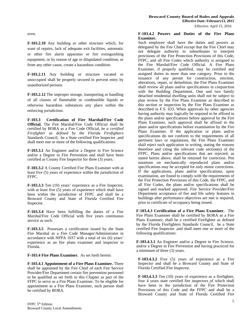#### **Broward County Board of Rules and Appeals Effective Date: February13, 2015**

Effective: April 15, 2016

*area.* 

**F-103.2.10** Any building or other structure which, for want of repairs, lack of adequate exit facilities, automatic or other fire alarm apparatus or fire extinguishing equipment, or by reason of age or dilapidated condition, or from any other cause, create a hazardous condition.

**F-103.2.11** Any building or structure vacated or unoccupied shall be properly secured to prevent entry by unauthorized persons.

**F-103.2.12** The improper storage, transporting or handling of all classes of flammable or combustible liquids or otherwise hazardous substances any place within the enforcing jurisdiction.

**F-103.3 Certification of Fire Marshal/Fire Code Official.** The Fire Marshal/Fire Code Official shall be certified by BORA as a Fire Code Official, *be a certified Firefighter as defined by the Florida Firefighters* Standards Council, be a State certified Fire Inspector ,and shall meet one or more of the following qualifications:

**F-103.3.1** An Engineer and/or a Degree in Fire Science and/or a Degree in Fire Prevention and shall have been certified as County Fire Inspector for three (3) years.

**F-103.3.2** A County Certified Fire Plans Examiner with at least five (5) years of experience within the jurisdiction of FFPC.

**F-103.3.3** Ten (10) years' experience as a Fire Inspector, with at least five (5) years of experience which shall have been within the jurisdiction of FFPC and shall be a Broward County and State of Florida Certified Fire Inspector.

**F-103.3.4** Have been fulfilling the duties of a Fire Marshal/Fire Code Official with five years continuous service as such.

**F-103.3.5** Possesses a certification issued by the State Fire Marshal as a Fire Code Manager/Administrator in accordance with NFPA 1037 with a total of six (6) years' experience as an fire plans examiner and inspector in Florida.

**F-103.4 Fire Plans Examiner.** As set forth herein:

**F-103.4.1 Appointment of a Fire Plans Examiner.** There shall be appointed by the Fire Chief of each Fire Service Provider/Fire Department certain fire prevention personnel to be qualified as set forth in this Chapter as part of the FFPC to serve as a Fire Plans Examiner. To be eligible for appointment as a Fire Plans Examiner, such person shall be certified by BORA.

#### **F-103.4.2 Powers and Duties of the Fire Plans Examiner.**

Such employee shall have the duties and powers as delegated by the Fire Chief except that the Fire Chief may not delegate authority to subordinates to interpret provisions of the Fire Protection Provisions of this Code, FFPC, and all Fire Codes which authority is assigned to the Fire Marshal/Fire Code Official. A Fire Plans Examiner, if properly qualified, may be certified and assigned duties in more than one category. Prior to the issuance of any permit for construction, erection, alterations, repair, or demolition, the Fire Plans Examiner shall review all plans and/or specifications in conjunction with the Building Department. One and two family detached residential dwelling units shall not be subject to plan review by the Fire Plans Examiner as described in this section or inspection by the Fire Plans Examiner as described in F.S. 633. When approvals by other agencies having authority may logically be required to be affixed to the plans and/or specifications before approval by the Fire Plans Examiner, such approval shall be affixed to the plans and/or specifications before examination by the Fire Plans Examiner. If the application or plans and/or specifications do not conform to the requirements of all pertinent laws or regulations, the Fire Plans Examiner shall reject such application in writing, stating the reasons therefore and citing the relevant code section(s) of the FFPC. Plans and/or specifications that are rejected, as stated herein above, shall be returned for correction. Pen notations on mechanically reproduced plans and/or specifications may be accepted for only minor corrections. If the applications, plans and/or specifications, upon examination, are found to comply with the requirements of the Fire Protection Provisions of this Code, the FFPC, and all Fire Codes, the plans and/or specifications shall be signed and marked approved. Fire Service Provider/Fire Department acceptance of fire and life safety features in buildings after performance objectives are met is required, prior to certificate of occupancy being issued.

**F-103.4.3 Certification of a Fire Plans Examiner.** The Fire Plans Examiner shall be certified by BORA as a Fire Plans Examiner, shall be a certified Firefighter as defined by the Florida Firefighters Standards Council, be a State certified Fire Inspector ,and shall meet one or more of the following qualifications:

**F-103.4.3.1** An Engineer and/or a Degree in Fire Science, and/or a Degree in Fire Prevention and having practiced for a minimum of three (3) years.

**F-103.4.3.2** Five (5) years of experience as a Fire Inspector and shall be a Broward County and State of Florida Certified Fire Inspector.

**F-103.4.3.3** Ten (10) years of experience as a firefighter, four 4 years state certified fire inspectors of which shall have been in the jurisdiction of the Fire Protection Provisions of this Code and the FFPC and shall be a Broward County and State of Florida Certified Fire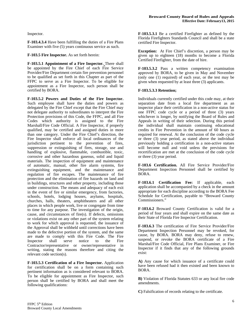Inspector.

**F-103.4.3.4** Have been fulfilling the duties of a Fire Plans Examiner with five (5) years continuous service as such.

**F-103.5 Fire Inspector.** As set forth herein:

**F-103.5.1 Appointment of a Fire Inspector.** There shall be appointed by the Fire Chief of each Fire Service Provider/Fire Department certain fire prevention personnel to be qualified as set forth in this Chapter as part of the FFPC to serve as a Fire Inspector. To be eligible for appointment as a Fire Inspector, such person shall be certified by BORA.

**F-103.5.2 Powers and Duties of the Fire Inspector.**  Such employee shall have the duties and powers as delegated by the Fire Chief except that the Fire Chief may not delegate authority to subordinates to interpret the Fire Protection provisions of this Code, the FFPC, and all Fire Codes which authority is assigned to the Fire Marshall/Fire Code Official. A Fire Inspector, if properly qualified, may be certified and assigned duties in more than one category. Under the Fire Chief's direction, the Fire Inspector shall enforce all local ordinances of the jurisdiction pertinent to the prevention of fires, suppression or extinguishing of fires, storage, use and handling of explosive, flammable, combustible, toxic, corrosive and other hazardous gaseous, solid and liquid materials. The inspection of equipment and maintenance of automatic, manual, other fire alarm systems, fire extinguishing equipment, and the maintenance and regulation of fire escapes. The maintenance of fire protection and the elimination of fire hazards on land and in buildings, structures and other property, including those under construction. The means and adequacy of each exit in the event of fire or similar emergency, from factories, schools, hotels, lodging houses, asylums, hospitals, churches, halls, theaters, amphitheaters and all other places in which people work, live or congregate from time to time for any purpose. The investigation of the origin, cause, and circumstances of fire(s). If defects, omissions or violations exist on any other part of the system relating to work for which approval is requested, the issuance of the Approval shall be withheld until corrections have been made to the defective portion of the system, and the same are made to comply with this Fire Code. The Fire Inspector shall serve notice to the Fire Contractor/representative or owner/representative in writing, stating the reasons therefore and citing the relevant code section(s).

**F-103.5.3 Certification of a Fire Inspector.** Application for certification shall be on a form containing such pertinent information as is considered relevant to BORA. To be eligible for appointment as Fire Inspector, such person shall be certified by BORA and shall meet the following qualifications:

**F-103.5.3.1** Be a certified Firefighter as defined by the Florida Firefighters Standards Council and shall be a state certified Fire Inspector.

**Exception:** At Fire Chief's discretion, a person may be given up to eighteen (18) months to become a Florida Certified Firefighter, from the date of hire.

**F-103.5.3.2** Pass a written competency examination approved by BORA, to be given in May and November (only one (1) required) of each year, or the test may be given when requested by at least three (3) applicants.

#### **F-103.5.3.3 Retention;**

Individuals currently certified under this code may, at their separation date from a local fire department as an inspector place their certification in a non-active status for one FFPC code cycle or a period of three (3) years whichever is longer, by notifying the Board of Rules and Appeals in writing of their selection. During this period the individual shall maintain continuing educational credits in Fire Prevention in the amount of 60 hours as required for renewal. At the conclusion of the code cycle or three (3) year period, as stated above the individual previously holding a certification in a non-active statues will become null and void unless the previsions for recertification are met at the conclusion of the code cycle or three (3) year period.

**F-103.6 Certification.** All Fire Service Provider/Fire Department Inspection Personnel shall be certified by BORA.

**F-103.6.1 Certification Fee:** If applicable, each application shall be accompanied by a check in the amount appropriate for each discipline according to the BORA Fee Schedule for Certification, payable to "Broward County Commissioners."

**F-103.6.2** Broward County Certification is valid for a period of four years and shall expire on the same date as their State of Florida Fire Inspector Certification.

**F-103.6.3** The certification of Fire Service Provider/Fire Department Inspection Personnel may be revoked, for cause, by BORA. BORA may deny, refuse to renew, suspend, or revoke the BORA certificate of a Fire Marshal/Fire Code Official, Fire Plans Examiner, or Fire Inspector if it finds that any of the following grounds exist:

**A)** Any cause for which issuance of a certificate could have been refused had it then existed and been known to BORA.

**B)** Violation of Florida Statutes 633 or any local fire code amendments.

**C)** Falsification of records relating to the certificate.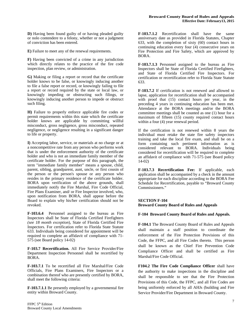**D)** Having been found guilty of or having pleaded guilty or nolo contendere to a felony, whether or not a judgment of conviction has been entered.

**E)** Failure to meet any of the renewal requirements.

**F)** Having been convicted of a crime in any jurisdiction which directly relates to the practice of the fire code inspection, plan review, or administration.

**G)** Making or filing a report or record that the certificate holder knows to be false, or knowingly inducing another to file a false report or record, or knowingly failing to file a report or record required by the state or local law, or knowingly impeding or obstructing such filings, or knowingly inducing another person to impede or obstruct such filing.

**H)** Failure to properly enforce applicable fire codes or permit requirements within this state which the certificate holder knows are applicable by committing willful misconduct, gross negligence, gross misconduct, repeated negligence, or negligence resulting in a significant danger to life or property.

**I)** Accepting labor, service, or materials at no charge or at a noncompetitive rate from any person who performs work that is under the enforcement authority of the certificate holder and who is not an immediate family member of the certificate holder. For the purpose of this paragraph, the term "immediate family member" means a spouse, child, parent, sibling, grandparent, aunt, uncle, or first cousin of the person or the person's spouse or any person who resides in the primary residence of the certificate holder. BORA upon verification of the above grounds, shall immediately notify the Fire Marshal, Fire Code Official, Fire Plans Examiner, and/ or Fire Inspector involved, who, upon notification from BORA, shall appear before the Board to explain why his/her certification should not be revoked.

**F-103.6.4** Personnel assigned to the bureau as Fire Inspectors shall be State of Florida Certified Firefighters *(see 18 month exception*), State of Florida Certified Fire Inspectors. For certification refer to Florida State Statute 633. Individuals being considered for appointment will be required to complete an affidavit of compliance with 71- 575 (see Board policy 14-02)

**F-103.7 Recertification.** All Fire Service Provider/Fire Department Inspection Personnel shall be recertified by BORA.

**F-103.7.1** To be recertified all Fire Marshal/Fire Code Officials, Fire Plans Examiners, Fire Inspectors or a combination thereof who are presently certified by BORA, shall meet the following criteria:

**F-103.7.1.1** Be presently employed by a governmental fire entity within Broward County.

**F-103.7.1.2** Recertification shall have the same anniversary date as provided in Florida Statutes, Chapter 633, with the completion of sixty (60) contact hours in continuing education every four (4) consecutive years on Fire Protection and Fire Safety, which are approved by BORA.

**F-103.7.1.3** Personnel assigned to the bureau as Fire Inspectors shall be State of Florida Certified Firefighters, and State of Florida Certified Fire Inspectors. For certification or recertification refer to Florida State Statute 633.

**F-103.7.2** If certification is not renewed and allowed to lapse, application for recertification shall be accompanied with proof that (15) contact hours per year, in the preceding 4 years in continuing education has been met. Attendance at the BORA meetings and/or the BORA committee meetings shall be counted as one (1) hour for a maximum of fifteen (15) county required contact hours within a four (4) year renewal period.

If the certification is not renewed within 8 years the individual must retake the state fire safety inspectors training and take the local fire exam, and shall be on a form containing such pertinent information as is considered relevant to BORA. Individuals being considered for recertification will be required to complete an affidavit of compliance with 71-575 (see Board policy 14-02)

**F-103.7.3 Recertification Fee:** If applicable, each application shall be accompanied by a check in the amount appropriate for each discipline according to the BORA Fee Schedule for Recertification, payable to "Broward County Commissioners."

# **SECTION F-104 Broward County Board of Rules and Appeals**

#### **F-104 Broward County Board of Rules and Appeals.**

**F-104.1** The Broward County Board of Rules and Appeals shall maintain a staff position to coordinate the enforcement of the Fire Protection Provisions of this Code, the FFPC, and all Fire Codes thereto. This person shall be known as the Chief Fire Prevention Code Compliance Officer and shall be certified as Fire Marshal/Fire Code Official.

**F104.2 The Fire Code Compliance Officer** shall have the authority to make inspections in the discipline and shall be responsible to see that the Fire Protection Provisions of this Code, the FFPC, and all Fire Codes are being uniformly enforced by all AHJs (building and Fire Service Provider/Fire Department in Broward County.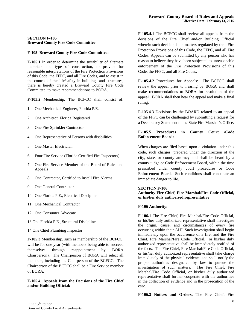#### **SECTION F-105 Broward County Fire Code Committee**

#### **F-105 Broward County Fire Code Committee:**

**F-105.1** In order to determine the suitability of alternate materials and type of construction, to provide for reasonable interpretations of the Fire Protection Provisions of this Code, the FFPC, and all Fire Codes, and to assist in the control of the life/safety in buildings and structures, there is hereby created a Broward County Fire Code Committee, to make recommendations to BORA.

**F-105.2** Membership: The BCFCC shall consist of:

- 1. One Mechanical Engineer, Florida P.E.
- 2. One Architect, Florida Registered
- 3. One Fire Sprinkler Contractor
- 4. One Representative of Persons with disabilities
- 5. One Master Electrician
- 6. Four Fire Service (Florida Certified Fire Inspectors)
- 7. One Fire Service Member of the Board of Rules and Appeals
- 8. One Contractor, Certified to Install Fire Alarms
- 9. One General Contractor
- 10. One Florida P.E., Electrical Discipline
- 11. One Mechanical Contractor
- 12. One Consumer Advocate
- 13 One Florida P.E., Structural Discipline,
- 14 One Chief Plumbing Inspector

**F-105.3** Membership, such as membership of the BCFCC, will be for one year (with members being able to succeed themselves through reappointment by BORA Chairperson). The Chairperson of BORA will select all members, including the Chairperson of the BCFCC. The Chairperson of the BCFCC shall be a Fire Service member of BORA.

**F-105.4 Appeals from the Decisions of the Fire Chief and/or Building Official:** 

**F-105.4.1** The BCFCC shall review all appeals from the decisions of the Fire Chief and/or Building Official wherein such decision is on matters regulated by the Fire Protection Provisions of this Code, the FFPC, and all Fire Codes. Appeals can be submitted by any person who has reason to believe they have been subjected to unreasonable enforcement of the Fire Protection Provisions of this Code, the FFPC, and all Fire Codes.

**F-105.4.2** Procedures for Appeals: The BCFCC shall review the appeal prior to hearing by BORA and shall make recommendations to BORA for resolution of the appeal. BORA shall then hear the appeal and make a final ruling.

F-105.4.3 Decisions by the BOARD related to an appeal of the FFPC can be challenged by submitting a request for a Declaratory Statement to the State Fire Marshal's Office.

#### **F-105.5 Procedures in County Court /Code Enforcement Board:**

When charges are filed based upon a violation under this code, such charges, prepared under the direction of the city, state, or county attorney and shall be heard by a county judge or Code Enforcement Board, within the time prescribed under county court procedures or Code Enforcement Board. Such conditions shall constitute an immediate danger to life.

#### **SECTION F-106**

#### **Authority Fire Chief, Fire Marshal/Fire Code Official, or his/her duly authorized representative**

#### **F-106 Authority:**

**F-106.1** The Fire Chief, Fire Marshal/Fire Code Official, or his/her duly authorized representative shall investigate the origin, cause, and circumstances of every fire occurring within their AHJ. Such investigation shall begin immediately upon the occurrence of a fire, and the Fire Chief, Fire Marshal/Fire Code Official, or his/her duly authorized representative shall be immediately notified of the facts. The Fire Chief, Fire Marshal/Fire Code Official, or his/her duly authorized representative shall take charge immediately of the physical evidence and shall notify the proper authorities designated by law to pursue the investigation of such matters. The Fire Chief, Fire Marshal/Fire Code Official, or his/her duly authorized representative shall further cooperate with the authorities in the collection of evidence and in the prosecution of the case.

**F-106.2 Notices and Orders. T**he Fire Chief, Fire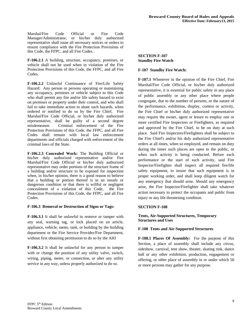Marshal/Fire Code Official or Fire Code Manager/Administrator, or his/her duly authorized representative shall issue all necessary notices or orders to ensure compliance with the Fire Protection Provisions of this Code, the FFPC, and all Fire Codes.

**F-106.2.1** A building, structure, occupancy, premises, or vehicle shall not be used when in violation of the Fire Protection Provisions of this Code, the FFPC, and all Fire Codes.

**F-106.2.2** Unlawful Continuance of Fire/Life Safety Hazard: Any person or persons operating or maintaining any occupancy, premises or vehicle subject to this Code who shall permit any fire and/or life safety hazard to exist on premises or property under their control, and who shall fail to take immediate action to abate such hazards, when ordered or notified to do so by the Fire Chief, Fire Marshal/Fire Code Official, or his/her duly authorized representative, shall be guilty of a second degree misdemeanor. Criminal enforcement of the Fire Protection Provisions of this Code, the FFPC, and all Fire Codes shall remain with local law enforcement departments and officials charged with enforcement of the criminal laws of the State.

**F-106.2.3 Concealed Work:** The Building Official or his/her duly authorized representative and/or Fire Marshal/Fire Code Official or his/her duly authorized representative may order portions of the structure frame of a building and/or structure to be exposed for inspection when, in his/her opinion, there is a good reason to believe that a building or portion thereof is in an unsafe or dangerous condition or that there is willful or negligent concealment of a violation of this Code, the Fire Protection Provisions of this Code, the FFPC, and all Fire Codes.

# **F-106.3 Removal or Destruction of Signs or Tags:**

**F-106.3.1** It shall be unlawful to remove or tamper with any seal, warning tag, or lock placed on an article, appliance, vehicle, meter, tank, or building by the building department or the Fire Service Provider/Fire Department, without first obtaining permission to do so by the AHJ

**F-106.3.2** It shall be unlawful for any person to tamper with or change the position of any utility valve, switch, wiring, piping, meter, or connection, or alter any utility service in any way, unless properly authorized to do so.

#### **SECTION F-107 Standby Fire Watch**

# **F-107 Standby Fire Watch:**

**F-107.1** Whenever in the opinion of the Fire Chief, Fire Marshal/Fire Code Official, or his/her duly authorized representative, it is essential for public safety in any place of public assembly or any other place where people congregate, due to the number of persons, or the nature of the performance, exhibition, display, contest or activity, the Fire Chief or his/her duly authorized representative may require the owner, agent or lessee to employ one or more certified Fire Inspectors or Firefighters, as required and approved by the Fire Chief, to be on duty at such place. Said Fire Inspectors/Firefighters shall be subject to the Fire Chief's and/or his duly authorized representative orders at all times, when so employed, and remain on duty during the times such places are open to the public, or when such activity is being conducted. Before each performance or the start of such activity, said Fire Inspector/Firefighter shall inspect all required fire/life safety equipment, to insure that such equipment is in proper working order, and shall keep diligent watch for any emergency that should arise. Should any emergency arise, the Fire Inspector/Firefighter shall take whatever action necessary to protect the occupants and public from injury or any life threatening condition.

# **SECTION F-108**

# **Tents, Air-Supported Structures, Temporary Structures and Uses**

# **F-108 Tents and Air-Supported Structures**

**F-108.1 Places Of Assembly:** For the purpose of this Section, a place of assembly shall include any circus, sideshow, carnival, tent show, theater, skating rink, dance hall or any other exhibition, production, engagement or offering, or other place of assembly in or under which 50 or more persons may gather for any purpose.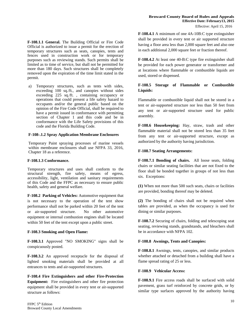**F-108.1.1 General.** The Building Official or Fire Code Official is authorized to issue a permit for the erection of temporary structures such as seats, canopies, tents and fences used in construction work or for temporary purposes such as reviewing stands. Such permits shall be limited as to time of service, but shall not be permitted for more than 180 days. Such structures shall be completely removed upon the expiration of the time limit stated in the permit.

a) Temporary structures, such as tents with sides, exceeding 100 sq./ft*.*, and canopies without sides exceeding 225 sq./ft. , containing occupancy or operations that could present a life safety hazard to occupants and/or the general public based on the opinion of the Fire Code Official, shall be required to have a permit issued in conformance with permitting section of Chapter 1 and this code and be in conformance with the Life Safety provisions of this code and the Florida Building Code.

#### **F-108-.1.2 Spray Application Membrane Enclosures**

Temporary Paint spraying processes of marine vessels within membrane enclosures shall use NFPA 33, 2016, Chapter 18 as a reference.

#### **F-108.1.3 Conformance.**

Temporary structures and uses shall conform to the structural strength, fire safety, means of egress, accessibility, light, ventilation and sanitary requirements of this Code and the FFPC as necessary to ensure public health, safety and general welfare.

**F-108.2 Parking of Vehicles:** Automotive equipment that is not necessary to the operation of the tent show performance shall not be parked within 20 feet of the tent or air-supported structure. No other automotive equipment or internal combustion engines shall be located within 50 feet of the tent except upon a public street.

#### **F-108.3 Smoking and Open Flame:**

**F-108.3.1** Approved "NO SMOKING" signs shall be conspicuously posted.

**F-108.3.2** An approved receptacle for the disposal of lighted smoking materials shall be provided at all entrances to tents and air-supported structures.

**F-108.4 Fire Extinguishers and other Fire-Protection Equipment:** Fire extinguishers and other fire protection equipment shall be provided in every tent or air-supported structure as follows:

Effective: April 15, 2016

**F-108.4.1** A minimum of one 4A-10B:C type extinguisher shall be provided in every tent or air supported structure having a floor area less than 2,000 square feet and also one in each additional 2,000 square feet or fraction thereof.

**F-108.4.2** At least one 40-B:C type fire extinguisher shall be provided for each power generator or transformer and at locations where flammable or combustible liquids are used, stored or dispensed.

## **F-108.5 Storage of Flammable or Combustible Liquids:**

Flammable or combustible liquid shall not be stored in a tent or air-supported structure nor less than 50 feet from any tent or air-supported structure used for public assembly.

**F-108.6 Housekeeping:** Hay, straw, trash and other flammable material shall not be stored less than 35 feet from any tent or air-supported structure, except as authorized by the authority having jurisdiction.

#### **F-108.7 Seating Arrangements:**

**F-108.7.1 Bonding of chairs.** All loose seats, folding chairs or similar seating facilities that are not fixed to the floor shall be bonded together in groups of not less than six. Exceptions:

**(1)** When not more than 500 such seats, chairs or facilities are provided, bonding thereof may be deleted.

**(2)** The bonding of chairs shall not be required when tables are provided, as when the occupancy is used for dining or similar purposes.

**F-108.7.2** Securing of chairs, folding and telescoping seat seating, reviewing stands, grandstands, and bleachers shall be in accordance with NFPA 102.

#### **F-108.8 Awnings, Tents and Canopies:**

**F-108.8.1** Awnings, tents, canopies, and similar products whether attached or detached from a building shall have a flame spread rating of 25 or less.

#### **F-108.9 Vehicular Access:**

**F-108.9.1** Fire access roads shall be surfaced with solid pavement, grass turf reinforced by concrete grids, or by similar type surfaces approved by the authority having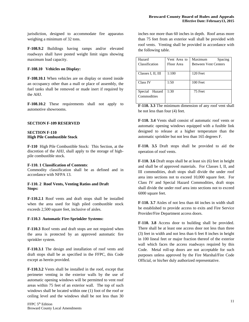jurisdiction, designed to accommodate fire apparatus weighing a minimum of 32 tons.

**F-108.9.2** Buildings having ramps and/or elevated roadways shall have posted weight limit signs showing maximum load capacity.

#### **F-108.10 Vehicles on Display:**

**F-108.10.1** When vehicles are on display or stored inside an occupancy other than a mall or place of assembly, the fuel tanks shall be removed or made inert if required by the AHJ.

**F-108.10.2** These requirements shall not apply to automotive showrooms.

#### **SECTION F-109 RESERVED**

#### **SECTION F-110 High Pile Combustible Stock**

**F-110** High Pile Combustible Stock: This Section, at the discretion of the AHJ, shall apply to the storage of highpile combustible stock.

#### **F-110. 1 Classification of Contents**:

Commodity classification shall be as defined and in accordance with NFPA 13.

#### **F-110. 2 Roof Vents, Venting Ratios and Draft Stops:**

**F-110.2.1** Roof vents and draft stops shall be installed when the area used for high piled combustible stock exceeds 2,500 square feet, inclusive of aisles.

#### **F-110.3 Automatic Fire-Sprinkler Systems:**

**F-110.3** Roof vents and draft stops are not required when the area is protected by an approved automatic fire sprinkler system.

**F-110.3.1** The design and installation of roof vents and draft stops shall be as specified in the FFPC, this Code except as herein provided.

**F-110.3.2** Vents shall be installed in the roof, except that perimeter venting in the exterior walls by the use of automatic opening windows will be permitted to vent roof areas within 75 feet of an exterior wall. The top of such windows shall be located within one (1) foot of the roof or ceiling level and the windows shall be not less than 30

inches nor more than 60 inches in depth. Roof areas more than 75 feet from an exterior wall shall be provided with roof vents. Venting shall be provided in accordance with the following table.

| Hazard             | Vent Area to | Maximum<br>Spacing          |  |
|--------------------|--------------|-----------------------------|--|
| Classification     | Floor Area   | <b>Between Vent Centers</b> |  |
|                    |              |                             |  |
| Classes I, II, III | 1:100        | 120 Feet                    |  |
|                    |              |                             |  |
| Class IV           | 1:50         | 100 Feet                    |  |
|                    |              |                             |  |
| Special Hazard     | 1:30         | 75 Feet                     |  |
| Commodities        |              |                             |  |
|                    |              |                             |  |

**F-110. 3.3** The minimum dimension of any roof vent shall be not less than four (4) feet.

**F-110. 3.4** Vents shall consist of automatic roof vents or automatic opening windows equipped with a fusible link designed to release at a higher temperature than the automatic sprinkler but not less than 165 degrees F.

**F-110. 3.5** Draft stops shall be provided to aid the operation of roof vents.

**F-110. 3.6** Draft stops shall be at least six (6) feet in height and shall be of approved materials. For Classes I, II, and III commodities, draft stops shall divide the under roof area into sections not to exceed 10,000 square feet. For Class IV and Special Hazard Commodities, draft stops shall divide the under roof area into sections not to exceed 6000 square feet.

**F-110. 3.7** Aisles of not less than 44 inches in width shall be established to provide access to exits and Fire Service Provider/Fire Department access doors.

**F-110. 3.8** Access door to building shall be provided. There shall be at least one access door not less than three (3) feet in width and not less than 6 feet 8 inches in height in 100 lineal feet or major fraction thereof of the exterior wall which faces the access roadways required by this Code. Metal roll-up doors are not acceptable for such purposes unless approved by the Fire Marshal/Fire Code Official, or his/her duly authorized representative.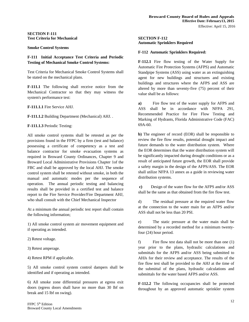#### **SECTION F-111 Test Criteria for Mechanical**

#### **Smoke Control Systems**

# **F-111 Initial Acceptance Test Criteria and Periodic Testing of Mechanical Smoke Control Systems:**

Test Criteria for Mechanical Smoke Control Systems shall be stated on the mechanical plans.

**F-111.1** The following shall receive notice from the Mechanical Contractor so that they may witness the system's performance test:

**F-111.1.1** Fire Service AHJ.

**F-111.1.2** Building Department (Mechanical) AHJ. .

**F-111.1.3** Periodic Testing:

All smoke control systems shall be retested as per the provisions found in the FFPC by a firm (test and balance) possessing a certificate of competency as a test and balance contractor for smoke evacuation systems as required in Broward County Ordinances, Chapter 9 and Broward Local Administrative Provisions Chapter 1of the FBC and shall be approved by the local AHJ. The smoke control system shall be retested without smoke, in both the manual and automatic modes per the sequence of operation. The annual periodic testing and balancing results shall be provided in a certified test and balance report to the Fire Service Provider/Fire Department AHJ, who shall consult with the Chief Mechanical Inspector

At a minimum the annual periodic test report shall contain the following information;

1) All smoke control system air movement equipment and if operating as intended.

2) Retest voltage.

3) Retest amperage.

4) Retest RPM if applicable.

5) All smoke control system control dampers shall be identified and if operating as intended.

6) All smoke zone differential pressures at egress exit doors (egress doors shall have no more than 30 lbf on break and 15 lbf on swing).

#### **SECTION F-112 Automatic Sprinklers Required**

#### **F-112 Automatic Sprinklers Required:**

**F-112.1** Fire flow testing of the Water Supply for Automatic Fire Protection Systems (AFPS) and Automatic Standpipe Systems (ASS) using water as an extinguishing agent for new buildings and structures and existing buildings and structures where the AFPS and ASS are altered by more than seventy-five (75) percent of their value shall be as follows:

**a)** Fire flow test of the water supply for AFPS and ASS shall be in accordance with NFPA 291, Recommended Practice for Fire Flow Testing and Marking of Hydrants, Florida Administrative Code (FAC) 69A-60.

**b)** The engineer of record (EOR) shall be responsible to review the fire flow results, potential drought impact and future demands to the water distribution system. Where the EOR determines that the water distribution system will be significantly impacted during drought conditions or as a result of anticipated future growth, the EOR shall provide a safety margin in the design of the AFPS/ASS. The EOR shall utilize NFPA 13 annex as a guide in reviewing water distribution systems.

 **c)** Design of the water flow for the AFPS and/or ASS shall be the same as that obtained from the fire flow test.

d) The residual pressure at the required water flow at the connection to the water main for an AFPS and/or ASS shall not be less than 20 PSI.

e) The static pressure at the water main shall be determined by a recorded method for a minimum twentyfour (24) hour period.

f) Fire flow test data shall not be more than one (1) year prior to the plans, hydraulic calculations and submittals for the AFPS and/or ASS being submitted to AHJs for their review and acceptance. The results of the fire flow test shall be provided to the AHJ at the time of the submittal of the plans, hydraulic calculations and submittals for the water based AFPS and/or ASS.

**F-112.2** The following occupancies shall be protected throughout by an approved automatic sprinkler system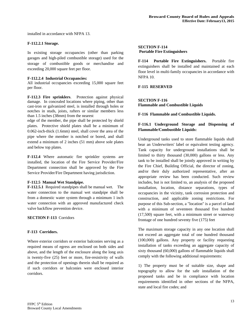installed in accordance with NFPA 13.

#### **F-112.2.1 Storage.**

In existing storage occupancies (other than parking garages and high-piled combustible storage) used for the storage of combustible goods or merchandise and exceeding 20,000 square feet per floor.

#### **F-112.2.4 Industrial Occupancies:**

All industrial occupancies exceeding 15,000 square feet per floor.

**F-112.3 Fire sprinklers**.Protection against physical damage. In concealed locations where piping, other than cast-iron or galvanized steel, is installed through holes or notches in studs, joists, rafters or similar members less than 1.5 inches (38mm) from the nearest

edge of the member, the pipe shall be protected by shield plates. Protective shield plates shall be a minimum of 0.062-inch-thick (1.6mm) steel, shall cover the area of the pipe where the member is notched or bored, and shall extend a minimum of 2 inches (51 mm) above sole plates and below top plates.

**F-112.4** Where automatic fire sprinkler systems are installed, the location of the Fire Service Provider/Fire Department connection shall be approved by the Fire Service Provider/Fire Department having jurisdiction.

#### **F-112.5 Manual Wet Standpipe.**

**F-112.5.1** Required standpipes shall be manual wet. The water connection to the manual wet standpipe shall be from a domestic water system through a minimum 1 inch water connection with an approved manufactured check valve backflow prevention device.

**SECTION F-113** Corridors

#### **F-113 Corridors.**

Where exterior corridors or exterior balconies serving as a required means of egress are enclosed on both sides and above, and the length of the enclosure along the long axis is twenty-five (25) feet or more, fire-resistivity of walls and the protection of openings therein shall be required as if such corridors or balconies were enclosed interior corridors.

#### **SECTION F-114 Portable Fire Extinguishers**

**F-114 Portable Fire Extinguishers.** Portable fire extinguishers shall be installed and maintained at each floor level in multi-family occupancies in accordance with NFPA 10.

#### **F-115 RESERVED**

#### **SECTION F-116 Flammable and Combustible Liquids**

**F-116 Flammable and Combustible Liquids.** 

# **F-116.1 Underground Storage and Dispensing of Flammable/Combustible Liquids:**

Underground tanks used to store flammable liquids shall bear an Underwriters' label or equivalent testing agency. Tank capacity for underground installations shall be limited to thirty thousand (30,000) gallons or less. Any tank to be installed shall be jointly approved in writing by the Fire Chief, Building Official, the director of zoning, and/or their duly authorized representative, after an appropriate review has been conducted. Such review includes, but is not limited to, an analysis of the proposed installation, location, distance separations, types of occupancies in the vicinity, tank corrosion protection and construction, and applicable zoning restrictions. For purpose of this Sub-section, a "location" is a parcel of land with a minimum of seventeen thousand five hundred (17,500) square feet, with a minimum street or waterway frontage of one hundred seventy five (175) feet

The maximum storage capacity in any one location shall not exceed an aggregate total of one hundred thousand (100,000) gallons. Any property or facility requesting installation of tanks exceeding an aggregate capacity of sixty thousand (60,000) gallons of flammable liquids shall comply with the following additional requirements:

1) The property must be of suitable size, shape and topography to allow for the safe installation of the proposed tanks and be in compliance with location requirements identified in other sections of the NFPA, state and local fire codes; and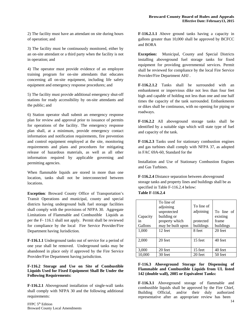2) The facility must have an attendant on site during hours of operation; and

3) The facility must be continuously monitored, either by an on-site attendant or a third party when the facility is not in operation; and

4) The operator must provide evidence of an employee training program for on-site attendants that educates concerning all on-site equipment, including life safety equipment and emergency response procedures; and

5) The facility must provide additional emergency shut-off stations for ready accessibility by on-site attendants and the public; and

6) Station operator shall submit an emergency response plan for review and approval prior to issuance of permits for operations of the facility. The emergency response plan shall, at a minimum, provide emergency contact information and notification requirements, fire prevention and control equipment employed at the site, monitoring requirements and plans and procedures for mitigating release of hazardous materials, as well as all other information required by applicable governing and permitting agencies.

When flammable liquids are stored in more than one location, tanks shall not be interconnected between locations.

**Exception***:* Broward County Office of Transportation's Transit Operations and municipal, county and special districts having underground bulk fuel storage facilities shall comply with the provisions of NFPA 30. Aggregate Limitations of Flammable and Combustible Liquids as per the F- 116.1 shall not apply. Permit shall be reviewed for compliance by the local Fire Service Provider/Fire Department having Jurisdiction*.* 

**F-116.1.1** Underground tanks out of service for a period of one year shall be removed. Underground tanks may be abandoned in place only if approved by the Fire Service Provider/Fire Department having jurisdiction.

**F-116.2 Storage and Use on Site of Combustible Liquids Used for Fixed Equipment Shall Be Under the Following Requirements:** 

**F-116.2.1** Aboveground installation of single-wall tanks shall comply with NFPA 30 and the following additional requirements:

**F-116.2.1.1** Above ground tanks having a capacity in gallons greater than 10,000 shall be approved by BCFCC and BORA

**Exception:** Municipal, County and Special Districts installing aboveground fuel storage tanks for fixed equipment for providing governmental services. Permit shall be reviewed for compliance by the local Fire Service Provider/Fire Department AHJ .

**F-116.2.1.2** Tanks shall be surrounded with an embankment or impervious dike not less than four feet high and capable of holding not less than one and one half times the capacity of the tank surrounded. Embankments or dikes shall be continuous, with no opening for piping or roadways.

**F-116.2.2** All aboveground storage tanks shall be identified by a suitable sign which will state type of fuel and capacity of the tank.

**F-116.2.3** Tanks used for stationary combustion engines and gas turbines shall comply with NFPA 37, as adopted in FAC 69A-60, Standard for the

Installation and Use of Stationary Combustion Engines and Gas Turbines.

**F-116.2.4** Distance separation between aboveground storage tanks and property lines and buildings shall be as specified in Table F-116.2.4 below: **Table F-116.2.4**

| Capacity<br>in<br>Gallons<br>1,000<br>2,000 | To line of<br>adjoining<br>unprotected<br>building or<br>property which<br>may be built upon<br>12 feet<br>20 feet | To line of<br>adjoining<br>protected<br>buildings<br>8 feet<br>15 feet | To line of<br>existing<br>frame<br>buildings<br>20 feet<br>40 feet |
|---------------------------------------------|--------------------------------------------------------------------------------------------------------------------|------------------------------------------------------------------------|--------------------------------------------------------------------|
| 3,000                                       | 20 feet                                                                                                            | 15 feet                                                                | 40 feet                                                            |
| 10,000                                      | 30 feet                                                                                                            | 20 feet                                                                | 50 feet                                                            |

#### **F-116.3 Aboveground Storage for Dispensing of Flammable and Combustible Liquids from UL listed 142 (double wall), 2085 or Equivalent Tanks:**

**F-116.3.1** Aboveground storage of flammable and combustible liquids shall be approved by the Fire Chief, Building Official, and/or their duly authorized representative after an appropriate review has been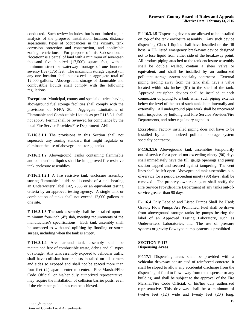conducted. Such review includes, but is not limited to, an analysis of the proposed installation, location, distance separations, types of occupancies in the vicinity, tank corrosion protection and construction, and applicable zoning restrictions. For purpose of this Sub-section, a "location" is a parcel of land with a minimum of seventeen thousand five hundred (17,500) square feet, with a minimum street or waterway frontage of one hundred seventy five (175) feet. The maximum storage capacity in any one location shall not exceed an aggregate total of 12,000 gallons. Aboveground storage of flammable and combustible liquids shall comply with the following regulations:

**Exception:** Municipal, county and special districts having aboveground fuel storage facilities shall comply with the provisions of NFPA 30. Aggregate Limitations of Flammable and Combustible Liquids as per F116.3.1 shall not apply. Permit shall be reviewed for compliance by the local Fire Service Provider/Fire Department AHJ *.* 

**F-116.3.1.1** The provisions in this Section shall not supersede any zoning standard that might regulate or eliminate the use of aboveground storage tanks.

**F-116.3.1.2** Aboveground Tanks containing flammable and combustible liquids shall be in approved fire resistive tank enclosure assemblies.

**F-116.3.1.2.1** A fire resistive tank enclosure assembly storing flammable liquids shall consist of a tank bearing an Underwriters' label 142, 2085 or an equivalent testing criteria by an approved testing agency. A single tank or combination of tanks shall not exceed 12,000 gallons at one site.

**F-116.3.1.3** The tank assembly shall be installed upon a minimum four-inch (4") slab, meeting requirements of the manufacturer's specifications. Each tank assembly shall be anchored to withstand uplifting by flooding or storm surges, including when the tank is empty.

**F-116.3.1.4** Area around tank assembly shall be maintained free of combustible waste, debris and all types of storage. Any tank assembly exposed to vehicular traffic shall have collision barrier posts installed on all corners and sides so exposed and shall not be spaced more than four feet (4') apart, center to center. Fire Marshal/Fire Code Official, or his/her duly authorized representative, may require the installation of collision barrier posts, even if the clearance guidelines can be achieved.

**F-116.3.1.5** Dispensing devices are allowed to be installed on top of the tank enclosure assembly. Any such device dispensing Class 1 liquids shall have installed on the fill hose, a UL listed emergency breakaway device designed not to lose liquid from either side of the breakaway point. All product piping attached to the tank enclosure assembly shall be double walled, contain a sheer valve or equivalent, and shall be installed by an authorized pollutant storage system specialty contractor. External piping leading away from the tank shall have a valve located within six inches (6") to the shell of the tank. Approved antisiphon devices shall be installed at each connection of piping to a tank when such piping extends below the level of the top of such tanks both internally and externally. All underground pipe work shall be uncovered until inspected by building and Fire Service Provider/Fire Departments, and other regulatory agencies.

**Exception:** Factory installed piping does not have to be installed by an authorized pollutant storage system specialty contractor.

**F-116.3.1.6** Aboveground tank assemblies temporarily out-of-service for a period not exceeding ninety (90) days shall immediately have the fill, gauge openings and pump suction capped and secured against tampering. The vent lines shall be left open. Aboveground tank assemblies outof-service for a period exceeding ninety (90) days, shall be removed. The property owner or agent shall notify the Fire Service Provider/Fire Department of any tanks out-ofservice greater than 90 days.

**F-116.4** Only Labeled and Listed Pumps Shall Be Used; Gravity Flow Pumps Are Prohibited. Fuel shall be drawn from aboveground storage tanks by pumps bearing the label of an Approved Testing Laboratory, such as Underwriters Laboratories, Inc. The use of pressure systems or gravity flow type pump systems is prohibited.

#### **SECTION F-117 Dispensing Areas**

**F-117.1** Dispensing areas shall be provided with a vehicular driveway constructed of reinforced concrete. It shall be sloped to allow any accidental discharge from the dispensing of fluid to flow away from the dispenser or any building, and shall be subject to the approval of the Fire Marshal/Fire Code Official, or his/her duly authorized representative. This driveway shall be a minimum of twelve feet (12') wide and twenty feet (20') long,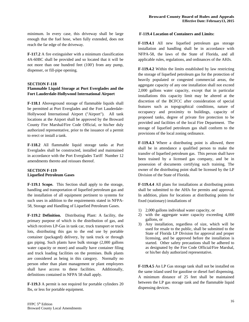minimum. In every case, this driveway shall be large enough that the fuel hose, when fully extended, does not reach the far edge of the driveway.

**F-117.2** A fire extinguisher with a minimum classification 4A-60BC shall be provided and so located that it will be not more than one hundred feet (100') from any pump, dispenser, or fill-pipe opening.

#### **SECTION F-118**

## **Flammable Liquid Storage at Port Everglades and the Fort Lauderdale-Hollywood International Airport**

**F-118.1** Aboveground storage of flammable liquids shall be permitted at Port Everglades and the Fort Lauderdale-Hollywood International Airport ("Airport"). All tank locations at the Airport shall be approved by the Broward County Fire Marshal/Fire Code Official, or his/her duly authorized representative, prior to the issuance of a permit to erect or install a tank.

**F-118.2** All flammable liquid storage tanks at Port Everglades shall be constructed, installed and maintained in accordance with the Port Everglades Tariff Number 12 amendments thereto and reissues thereof.

#### **SECTION F-119 Liquefied Petroleum Gases**

**F-119.1 Scope.** This Section shall apply to the storage, handling and transportation of liquefied petroleum gas and the installation of all equipment pertinent to systems for such uses in addition to the requirements stated in NFPA-58, Storage and Handling of Liquefied Petroleum Gases.

**F-119.2 Definition.** Distributing Plant: A facility, the primary purpose of which is the distribution of gas, and which receives LP-Gas in tank car, truck transport or truck lots, distributing this gas to the end use by portable container (packaged) delivery, by tank truck or through gas piping. Such plants have bulk storage (2,000 gallons water capacity or more) and usually have container filing and truck loading facilities on the premises. Bulk plants are considered as being in this category. Normally no person other than plant management or plant employees shall have access to these facilities. Additionally, definitions contained in NFPA 58 shall apply.

**F-119.3** A permit is not required for portable cylinders 20 lbs, or less for portable equipment.

#### **F-119.4 Location of Containers and Limits:**

**F-119.4.1** All new liquefied petroleum gas storage installation and handling shall be in accordance with NFPA-58, the laws of the State of Florida, and all applicable rules, regulations, and ordinances of the AHJs.

**F-119.4.2** Within the limits established by law restricting the storage of liquefied petroleum gas for the protection of heavily populated or congested commercial areas, the aggregate capacity of any one installation shall not exceed 2,000 gallons water capacity, except that in particular installations this capacity limit may be altered at the discretion of the BCFCC after consideration of special features such as topographical conditions, nature of occupancy and proximity to buildings, capacity of proposed tanks, degree of private fire protection to be provided and facilities of the local Fire Department. The storage of liquefied petroleum gas shall conform to the provisions of the local zoning ordinance.

**F-119.4.3** Where a distributing point is allowed, there shall be in attendance a qualified person to make the transfer of liquefied petroleum gas. This person shall have been trained by a licensed gas company, and be in possession of documents certifying such training. The owner of the distributing point shall be licensed by the LP Division of the State of Florida.

**F-119.4.4** All plans for installations at distributing points shall be submitted to the AHJs for permits and approval. In addition, plans for locations at distributing points for fixed (stationary) installations of

- 1) 2,000 gallons individual water capacity, or
- 2) with the aggregate water capacity exceeding 4,000 gallons, or
- 3) Any installation, regardless of size, which will be used for resale to the public, shall be submitted to the State of Florida LP Division for approval and proper licensing, and be approved before the installation is started. Other safety precautions shall be adhered to as designated by the Fire Code Official/Fire Marshal, or his/her duly authorized representative.

**F-119.4.5** An LP Gas storage tank shall not be installed on the same island used for gasoline or diesel fuel dispensing. A minimum distance of 25 feet shall be maintained between the LP gas storage tank and the flammable liquid dispensing devices.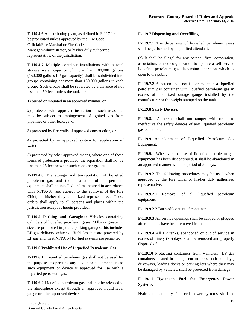**F-119.4.6** A distributing plant, as defined in F-117.1 shall be prohibited unless approved by the Fire Code Official/Fire Marshal or Fire Code Manager/Administrator, or his/her duly authorized representative, of the jurisdiction.

**F-119.4.7** Multiple container installations with a total storage water capacity of more than 180,000 gallons (150,000 gallons LP-gas capacity) shall be subdivided into groups containing not more than 180,000 gallons in each group. Such groups shall be separated by a distance of not less than 50 feet, unless the tanks are:

**1)** buried or mounted in an approved manner, or

**2)** protected with approved insulation on such areas that may be subject to impingement of ignited gas from pipelines or other leakage, or

**3)** protected by fire-walls of approved construction, or

**4)** protected by an approved system for application of water, or

**5)** protected by other approved means, where one of these forms of protection is provided, the separation shall not be less than 25 feet between such container groups.

**F-119.4.8** The storage and transportation of liquefied petroleum gas and the installation of all pertinent equipment shall be installed and maintained in accordance with NFPA-58, and subject to the approval of the Fire Chief, or his/her duly authorized representative,. These orders shall apply to all persons and places within the jurisdiction except as herein provided.

**F-119.5 Parking and Garaging:** Vehicles containing cylinders of liquefied petroleum gases 20 lbs or greater in size are prohibited in public parking garages, this includes LP gas delivery vehicles. Vehicles that are powered by LP gas and meet NFPA 54 for fuel systems are permitted.

#### **F-119.6 Prohibited Use of Liquefied Petroleum Gas:**

**F-119.6.1** Liquefied petroleum gas shall not be used for the purpose of operating any device or equipment unless such equipment or device is approved for use with a liquefied petroleum gas.

**F-119.6.2** Liquefied petroleum gas shall not be released to the atmosphere except through an approved liquid level gauge or other approved device.

#### **F-119.7 Dispensing and Overfilling.**

**F-119.7.1** The dispensing of liquefied petroleum gases shall be performed by a qualified attendant.

(a) It shall be illegal for any person, firm, corporation, association, club or organization to operate a self-service liquefied petroleum gas dispensing operation which is open to the public.

**F-119.7.2** A person shall not fill or maintain a liquefied petroleum gas container with liquefied petroleum gas in excess of the fixed outage gauge installed by the manufacturer or the weight stamped on the tank.

#### **F-119.8 Safety Devices.**

**F-119.8.1** A person shall not tamper with or make ineffective the safety devices of any liquefied petroleum gas container.

**F-119.9** Abandonment of Liquefied Petroleum Gas Equipment:

**F-119.9.1** Whenever the use of liquefied petroleum gas equipment has been discontinued, it shall be abandoned in an approved manner within a period of 30 days.

**F-119.9.2** The following procedures may be used when approved by the Fire Chief or his/her duly authorized representative.

**F-119.9.2.1** Removal of all liquefied petroleum equipment.

**F-119.9.2.2** Burn-off content of container.

**F-119.9.3** All service openings shall be capped or plugged after contents have been removed from container.

**F-119.9.4** All LP tanks, abandoned or out of service in excess of ninety (90) days, shall be removed and properly disposed of.

**F-119.10** Protecting containers from Vehicles: LP gas containers located in or adjacent to areas such as alleys, driveways, loading docks or parking lots where they may be damaged by vehicles, shall be protected from damage.

#### **F-119.11 Hydrogen Fuel for Emergency Power Systems.**

Hydrogen stationary fuel cell power systems shall be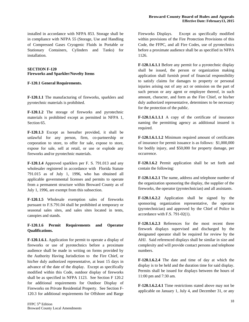installed in accordance with NFPA 853. Storage shall be in compliance with NFPA 55 (Storage, Use and Handling of Compressed Gases Cryogenic Fluids in Portable or Stationary Containers, Cylinders and Tanks) for installation.

#### **SECTION F-120 Fireworks and Sparkler/Novelty Items**

#### **F-120.1 General Requirements.**

**F-120.1.1** The manufacturing of fireworks, sparklers and pyrotechnic materials is prohibited.

**F-120.1.2** The storage of fireworks and pyrotechnic materials is prohibited except as permitted in NFPA 1, Section 65.

**F-120.1.3** Except as hereafter provided, it shall be unlawful for any person, firm, co-partnership or corporation to store, to offer for sale, expose to store, expose for sale, sell at retail, or use or explode any fireworks and/or pyrotechnic materials.

**F-120.1.4** Approved sparklers per F. S. 791.013 and any wholesaler registered in accordance with Florida Statute 791.015 as of July 1, 1996, who has obtained all applicable governmental licenses and permits to operate from a permanent structure within Broward County as of July 1, 1996, are exempt from this subsection.

**F-120.1.5** Wholesale exemption sales of fireworks pursuant to F.S.791.04 shall be prohibited at temporary or seasonal sales sites, and sales sites located in tents, canopies and stands.

# **F-120.1.6 Permit Requirements and Operator Qualifications.**

**F-120.1.6.1.** Application for permit to operate a display of fireworks or use of pyrotechnics before a proximate audience shall be made in writing on forms provided by the Authority Having Jurisdiction to the Fire Chief, or his/her duly authorized representative, at least 15 days in advance of the date of the display. Except as specifically modified within this Code, outdoor display of fireworks shall be as specified in NFPA 1123. See Section F 120.2 for additional requirements for Outdoor Display of Fireworks on Private Residential Property. See Section F-120.3 for additional requirements for Offshore and Barge

Fireworks Displays. Except as specifically modified within provisions of the Fire Protection Provisions of this Code, the FFPC, and all Fire Codes, use of pyrotechnics before a proximate audience shall be as specified in NFPA 1126.

**F-120.1.6.1.1** Before any permit for a pyrotechnic display shall be issued, the person or organization making application shall furnish proof of financial responsibility to satisfy claims for damages to property or personal injuries arising out of any act or omission on the part of such person or any agent or employee thereof, in such amount, character, and form as the Fire Chief, or his/her duly authorized representative, determines to be necessary for the protection of the public.

**F-120.1.6.1.1.1** A copy of the certificate of insurance naming the permitting agency as additional insured is required.

**F-120.1.6.1.1.2** Minimum required amount of certificates of insurance for permit issuance is as follows: \$1,000,000 for bodily injury, and \$50,000 for property damage, per occurrence.

**F-120.1.6.2** Permit application shall be set forth and contain the following:

**F-120.1.6.2.1** The name, address and telephone number of the organization sponsoring the display, the supplier of the fireworks, the operator (pyrotechnician) and all assistants.

**F-120.1.6.2.2** Application shall be signed by the sponsoring organization representative, the operator (pyrotechnician) and approved by the Chief of Police in accordance with F.S. 791-02(1).

**F-120.1.6.2.3** References for the most recent three firework displays supervised and discharged by the designated operator shall be required for review by the AHJ. Said referenced displays shall be similar in size and complexity and will provide contact persons and telephone numbers.

**F-120.1.6.2.4** The date and time of day at which the display is to be held and the duration time for said display. Permits shall be issued for displays between the hours of 11:00 pm and 7:30 am.

**F-120.1.6.2.4.1** Time restrictions stated above may not be applicable on January 1, July 4, and December 31, or any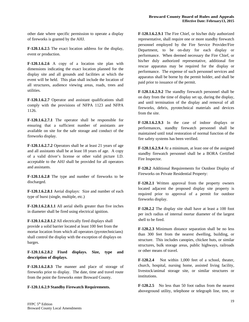other date where specific permission to operate a display of fireworks is granted by the AHJ.

**F-120.1.6.2.5** The exact location address for the display, event or production.

**F-120.1.6.2.6** A copy of a location site plan with dimensions indicating the exact location planned for the display site and all grounds and facilities at which the event will be held. This plan shall include the location of all structures, audience viewing areas, roads, trees and utilities.

**F-120.1.6.2.7** Operator and assistant qualifications shall comply with the provisions of NFPA 1123 and NFPA 1126.

**F-120.1.6.2.7.1** The operator shall be responsible for ensuring that a sufficient number of assistants are available on site for the safe storage and conduct of the fireworks display.

**F-120.1.6.2.7.2** Operators shall be at least 21 years of age and all assistants shall be at least 18 years of age. A copy of a valid driver's license or other valid picture I.D. acceptable to the AHJ shall be provided for all operators and assistants.

**F-120.1.6.2.8** The type and number of fireworks to be discharged.

**F-120.1.6.2.8.1** Aerial displays: Size and number of each type of burst (single, multiple, etc.)

**F-120.1.6.2.8.1.1** All aerial shells greater than five inches in diameter shall be fired using electrical ignition.

**F-120.1.6.2.8.1.2** All electrically fired displays shall provide a solid barrier located at least 100 feet from the mortar location from which all operators (pyrotechnicians) shall control the display with the exception of displays on barges.

**F-120.1.6.2.8.2 Fixed displays. Size, type and description of displays.** 

**F-120.1.6.2.8.3** The manner and place of storage of fireworks prior to display. The date, time and travel route from the point the fireworks enter Broward County.

#### **F-120.1.6.2.9 Standby Firewatch Requirements.**

**F-120.1.6.2.9.1** The Fire Chief, or his/her duly authorized representative, shall require one or more standby firewatch personnel employed by the Fire Service Provider/Fire Department, to be on-duty for each display or performance. When deemed necessary the Fire Chief, or his/her duly authorized representative, additional fire rescue apparatus may be required for the display or performance. The expense of such personnel services and apparatus shall be borne by the permit holder, and shall be paid prior to issuance of the permit.

**F-120.1.6.2.9.2** The standby firewatch personnel shall be on duty from the time of display set up, during the display, and until termination of the display and removal of all fireworks, debris, pyrotechnical materials and devices from the site.

**F-120.1.6.2.9.3** In the case of indoor displays or performances, standby firewatch personnel shall be maintained until total restoration of normal function of the fire safety systems has been verified.

**F-120.1.6.2.9.4** At a minimum, at least one of the assigned standby firewatch personnel shall be a BORA Certified Fire Inspector.

**F-120.2** Additional Requirements for Outdoor Display of Fireworks on Private Residential Property:

**F-120.2.1** Written approval from the property owners located adjacent the proposed display site property is required prior to approval of a permit for outdoor fireworks display.

**F-120.2.2** The display site shall have at least a 100 foot per inch radius of internal mortar diameter of the largest shell to be fired.

**F-120.2.3** Minimum distance separation shall be no less than 300 feet from the nearest dwelling, building, or structure. This includes canopies, chickee huts, or similar structures, bulk storage areas, public highways, railroads or other means of travel.

**F-120.2.4** Not within 1,000 feet of a school, theater, church, hospital, nursing home, assisted living facility, livestock/animal storage site, or similar structures or institutions.

**F-120.2.5** No less than 50 foot radius from the nearest aboveground utility, telephone or telegraph line, tree, or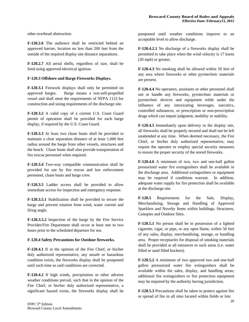other overhead obstruction.

**F-120.2.6** The audience shall be restricted behind an approved barrier, location no less than 200 feet from the outside of the required display site distance separations.

**F-120.2.7** All aerial shells, regardless of size, shall be fired using approved electrical ignition.

#### **F-120.3 Offshore and Barge Fireworks Displays.**

**F-120.3.1** Firework displays shall only be permitted on approved barges. Barge means a non-self-propelled vessel and shall meet the requirements of NFPA 1123 for construction and sizing requirements of the discharge site.

**F-120.3.2** A valid copy of a current U.S. Coast Guard permit of operation shall be provided for each barge display, if required by the U.S. Coast Guard.

**F-120.3.3** At least two chase boats shall be provided to maintain a clear separation distance of at least 1,000 feet radius around the barge from other vessels, structures and the beach. Chase boats shall also provide transportation of fire rescue personnel when required.

**F-120.3.4** Two-way compatible communication shall be provided for use by fire rescue and law enforcement personnel, chase boats and barge crew.

**F-120.3.5** Ladder access shall be provided to allow immediate access for inspection and emergency response.

**F-120.3.5.1** Stabilization shall be provided to secure the barge and prevent rotation from wind, water current and firing angle.

**F-120.3.5.2** Inspection of the barge by the Fire Service Provider/Fire Department shall occur at least one to two hours prior to the scheduled departure for sea.

#### **F-120.4 Safety Precautions for Outdoor fireworks.**

**F-120.4.1** If in the opinion of the Fire Chief, or his/her duly authorized representative, any unsafe or hazardous condition exists, the fireworks display shall be postponed until such time as said conditions are corrected.

**F-120.4.2** If high winds, precipitation or other adverse weather conditions prevail, such that in the opinion of the Fire Chief, or his/her duly authorized representative, a significant hazard exists, the fireworks display shall be

postponed until weather conditions improve to an acceptable level to allow discharge.

**F-120.4.2.1** No discharge of a fireworks display shall be permitted to take place when the wind velocity is 17 knots (20 mph) or greater.

**F-120.4.3** No smoking shall be allowed within 50 feet of any area where fireworks or other pyrotechnic materials are present.

**F-120.4.4** No operators, assistants or other personnel shall use or handle any fireworks, pyrotechnic materials or pyrotechnic devices and equipment while under the influence of any intoxicating beverages, narcotics, controlled substances, or prescription or non-prescription drugs which can impair judgment, mobility or stability.

**F-120.4.5** Immediately upon delivery to the display site, all fireworks shall be properly secured and shall not be left unattended at any time. When deemed necessary, the Fire Chief, or his/her duly authorized representative, may require the operator or employ special security measures to ensure the proper security of the stored fireworks.

**F-120.4.6** A minimum of two, two and one-half gallon pressurized water fire extinguishers shall be available in the discharge area. Additional extinguishers or equipment may be required if conditions warrant. In addition, adequate water supply for fire protection shall be available at the discharge site.

**F-120.5** Requirements for the Sale, Display, Merchandising, Storage and Handling of Approved Sparklers and Novelty Items within buildings, Structures, Canopies and Outdoor Sites.

**F-120.5.1** No person shall be in possession of a lighted cigarette, cigar, or pipe, or any open flame, within 50 feet of any sales, display, merchandising, storage, or handling area. Proper receptacles for disposal of smoking materials shall be provided at all entrances to such areas (i.e. water filled or sand filled buckets).

**F-120.5.2** A minimum of two approved two and one-half gallon pressurized water fire extinguishers shall be available within the sales, display, and handling areas; additional fire extinguishers or fire protection equipment may be required by the authority having jurisdiction.

**F-120.5.3** Precautions shall be taken to protect against fire or spread of fire in all sites located within fields or lots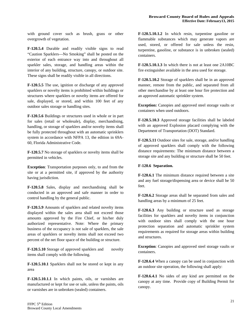with ground cover such as brush, grass or other overgrowth of vegetation.

**F-120.5.4** Durable and readily visible signs to read "Caution Sparklers—No Smoking" shall be posted on the exterior of each entrance way into and throughout all sparkler sales, storage, and handling areas within the interior of any building, structure, canopy, or outdoor site. These signs shall be readily visible in all directions.

**F-120.5.5** The use, ignition or discharge of any approved sparklers or novelty items is prohibited within buildings or structures where sparklers or novelty items are offered for sale, displayed, or stored, and within 100 feet of any outdoor sales storage or handling sites.

**F-120.5.6** Buildings or structures used in whole or in part for sales (retail or wholesale), display, merchandising, handling, or storage of sparklers and/or novelty items shall be fully protected throughout with an automatic sprinklers system in accordance with NFPA 13, the edition in 69A-60, Florida Administrative Code.

**F-120.5.7** No storage of sparklers or novelty items shall be permitted in vehicles.

**Exception**: Transportation purposes only, to and from the site or at a permitted site, if approved by the authority having jurisdiction*.*

**F-120.5.8** Sales, display and merchandising shall be conducted in an approved and safe manner in order to control handling by the general public.

**F-120.5.9** Amounts of sparklers and related novelty items displayed within the sales area shall not exceed those amounts approved by the Fire Chief, or his/her duly authorized representative. Note: Where the primary business of the occupancy is not sale of sparklers, the sale areas of sparklers or novelty items shall not exceed two percent of the net floor space of the building or structure.

**F-120.5.10** Storage of approved sparklers and novelty items shall comply with the following.

**F-120.5.10.1** Sparklers shall not be stored or kept in any area

**F-120.5.10.1.1** In which paints, oils, or varnishes are manufactured or kept for use or sale, unless the paints, oils or varnishes are in unbroken (sealed) containers.

**F-120.5.10.1.2** In which resin, turpentine gasoline or flammable substances which may generate vapors are used, stored, or offered for sale unless the resin, turpentine, gasoline, or substance is in unbroken (sealed) containers.

**F-120.5.10.1.3** In which there is not at least one 2A10BC fire extinguisher available in the area used for storage.

**F-120.5.10.2** Storage of sparklers shall be in an approved manner, remote from the public, and separated from all other merchandise by at least one hour fire protection and an approved automatic sprinkler system.

**Exception:** Canopies and approved steel storage vaults or containers when used outdoors.

**F-120.5.10.3** Approved storage facilities shall be labeled with an approved Explosion placard complying with the Department of Transportation (DOT) Standard.

**F-120.5.11** Outdoor sites for sale, storage, and/or handling of approved sparklers shall comply with the following distance requirements: The minimum distance between a storage site and any building or structure shall be 50 feet.

#### **F-120.6 Separation.**

**F-120.6.1** The minimum distance required between a site and any fuel storage/dispensing area or device shall be 50 feet.

**F-120.6.2** Storage areas shall be separated from sales and handling areas by a minimum of 25 feet.

**F-120.6.3** Any building or structure used as storage facilities for sparklers and novelty items in conjunction with outdoor sites shall comply with the one hour protection separation and automatic sprinkler system requirements as required for storage areas within building and structures.

**Exception**: Canopies and approved steel storage vaults or containers.

**F-120.6.4** When a canopy can be used in conjunction with an outdoor site operation, the following shall apply:

**F-120.6.4.1** No sides of any kind are permitted on the canopy at any time. Provide copy of Building Permit for canopy.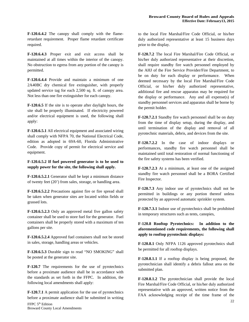**F-120.6.4.2** The canopy shall comply with the flameretardant requirement. Proper flame retardant certificate required.

**F-120.6.4.3** Proper exit and exit access shall be maintained at all times within the interior of the canopy. No obstruction to egress from any portion of the canopy is permitted.

**F-120.6.4.4** Provide and maintain a minimum of one 2A40BC dry chemical fire extinguisher, with properly updated service tag for each 2,500 sq. ft. of canopy area. Not less than one fire extinguisher for each canopy.

**F-120.6.5** If the site is to operate after daylight hours, the site shall be properly illuminated. If electricity powered and/or electrical equipment is used, the following shall apply:

**F-120.6.5.1** All electrical equipment and associated wiring shall comply with NFPA 70, the National Electrical Code, edition as adopted in 69A-60, Florida Administrative Code. Provide copy of permit for electrical service and equipment.

**F-120.6.5.2 If fuel powered generator is to be used to supply power for the site, the following shall apply.**

**F-120.6.5.2.1** Generator shall be kept a minimum distance of twenty feet (20') from sales, storage, or handling area.

**F-120.6.5.2.2** Precautions against fire or fire spread shall be taken when generator sites are located within fields or grassed lots.

**F-120.6.5.2.3** Only an approved metal five gallon safety container shall be used to store fuel for the generator. Fuel containers shall be properly stored with a maximum of ten gallons per site.

**F-120.6.5.2.4** Approved fuel containers shall not be stored in sales, storage, handling areas or vehicles.

**F-120.6.5.3** Durable sign to read "NO SMOKING" shall be posted at the generator site.

**F-120.7** The requirements for the use of pyrotechnics before a proximate audience shall be in accordance with the standards as set forth in the FFPC. In addition, the following local amendments shall apply:

**F-120.7.1** A permit application for the use of pyrotechnics before a proximate audience shall be submitted in writing

to the local Fire Marshal/Fire Code Official, or his/her duly authorized representative at least 15 business days prior to the display.

**F-120.7.2** The local Fire Marshal/Fire Code Official, or his/her duly authorized representative at their discretion, shall require standby fire watch personnel employed by the AHJ of the Fire Service Provider/Fire Department, to be on duty for each display or performance. When deemed necessary by the local Fire Marshal/Fire Code Official, or his/her duly authorized representative, additional fire and rescue apparatus may be required for the display or performance. Any and all expense(s) of standby personnel services and apparatus shall be borne by the permit holder.

**F-120.7.2.1** Standby fire watch personnel shall be on duty from the time of display setup, during the display, and until termination of the display and removal of all pyrotechnic materials, debris, and devices from the site.

**F-120.7.2.2** In the case of indoor displays or performances, standby fire watch personnel shall be maintained until total restoration of normal functioning of the fire safety systems has been verified.

**F-120.7.2.3** At a minimum, at least one of the assigned standby fire watch personnel shall be a BORA Certified Fire Inspector.

**F-120.7.3** Any indoor use of pyrotechnics shall not be permitted in buildings or any portion thereof unless protected by an approved automatic sprinkler system.

**F-120.7.3.1** Indoor use of pyrotechnics shall be prohibited in temporary structures such as tents, canopies,

**F-120.8 Rooftop Pyrotechnics: In addition to the aforementioned code requirements, the following shall apply to rooftop pyrotechnic displays:** 

**F-120.8.1** Only NFPA 1126 approved pyrotechnics shall be permitted for all rooftop displays.

**F-120.8.1.1** If a rooftop display is being proposed, the pyrotechnician shall identify a debris fallout area on the submitted plan.

**F-120.8.1.2** The pyrotechnician shall provide the local Fire Marshal/Fire Code Official, or his/her duly authorized representative with an approved, written notice from the FAA acknowledging receipt of the time frame of the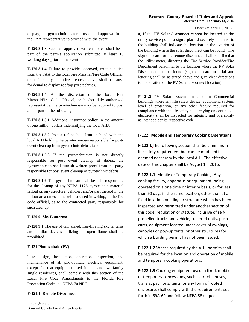#### **Broward County Board of Rules and Appeals Effective Date: February13, 2015**

Effective: April 15, 2016

display, the pyrotechnic material used, and approval from the FAA representative to proceed with the event.

**F-120.8.1.3** Such an approved written notice shall be a part of the permit application submitted at least 15 working days prior to the event.

**F-120.8.1.4** Failure to provide approved, written notice from the FAA to the local Fire Marshal/Fire Code Official, or his/her duly authorized representative, shall be cause for denial to display rooftop pyrotechnics.

**F-120.8.1.5** At the discretion of the local Fire Marshal/Fire Code Official, or his/her duly authorized representative, the pyrotechnician may be required to post all, or part of the following:

**F-120.8.1.5.1** Additional insurance policy in the amount of one million dollars indemnifying the local AHJ.

**F-120.8.1.5.2** Post a refundable clean-up bond with the local AHJ holding the pyrotechnician responsible for postevent clean up from pyrotechnic debris fallout.

**F-120.8.1.5.3** If the pyrotechnician is not directly responsible for post event cleanup of debris, the pyrotechnician shall furnish written proof from the party responsible for post event cleanup of pyrotechnic debris.

**F-120.8.1.6** The pyrotechnician shall be held responsible for the cleanup of any NFPA 1126 pyrotechnic material fallout on any structure, vehicles, and/or part thereof in the fallout area unless otherwise advised in writing, to the fire code official, as to the contracted party responsible for such cleanup.

#### **F-120.9 Sky Lanterns:**

**F-120.9.1** The use of unmanned, free-floating sky lanterns and similar devices utilizing an open flame shall be prohibited.

#### **F-121 Photovoltaic (PV)**

The design, installation, operation, inspection, and maintenance of all photovoltaic electrical equipment, except for that equipment used in one and two-family single residences, shall comply with this section of the Local Fire Code Amendments to the Florida Fire Prevention Code and NFPA 70 NEC.

#### **F-121.1 Remote Disconnect**

a) If the PV Solar disconnect cannot be located at the utility service point, a sign / placard securely mounted to the building shall indicate the location on the exterior of the building where the solar disconnect can be found. The sign / placard for the remote disconnect shall be affixed at the utility meter, directing the Fire Service Provider/Fire Department personnel to the location where the PV Solar Disconnect can be found (sign / placard material and lettering shall be as stated above and give clear directions to the location of the PV Solar disconnect location).

**F-121.2** PV Solar systems installed in Commercial buildings where any life safety device, equipment, system, level of protection, or any other feature required for compliance with the life safety code relying on continuous electricity shall be inspected for integrity and operability as intended per its respective code.

# F‐122 **Mobile and Temporary Cooking Operations**

**F‐122.1** The following section shall be a minimum life safety requirement but can be modified if deemed necessary by the local AHJ. The effective date of this chapter shall be August  $1<sup>st</sup>$ , 2016.

**F‐122.1.1** Mobile or Temporary Cooking. Any cooking facility, apparatus or equipment, being operated on a one time or interim basis, or for less than 90 days in the same location, other than at a fixed location, building or structure which has been inspected and permitted under another section of this code, regulation or statute, inclusive of self‐ propelled trucks and vehicle, trailered units, push carts, equipment located under cover of awnings, canopies or pop‐up tents, or other structures for which a building permit has not been issued.

**F‐122.1.2** Where required by the AHJ, permits shall be required for the location and operation of mobile and temporary cooking operations.

**F‐122.1.3** Cooking equipment used in fixed, mobile, or temporary concessions, such as trucks, buses, trailers, pavilions, tents, or any form of roofed enclosure, shall comply with the requirements set forth in 69A‐60 and follow NFPA 58 (Liquid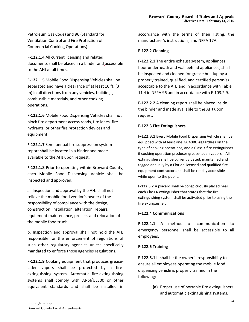Petroleum Gas Code) and 96 (Standard for Ventilation Control and Fire Protection of Commercial Cooking Operations).

**F‐122.1.4** All current licensing and related documents shall be placed in a binder and accessible to the AHJ at all times.

**F‐122.1.5** Mobile Food Dispensing Vehicles shall be separated and have a clearance of at least 10 ft. (3 m) in all directions from any vehicles, buildings, combustible materials, and other cooking operations.

**F‐122.1.6** Mobile Food Dispensing Vehicles shall not block fire department access roads, fire lanes, fire hydrants, or other fire protection devices and equipment.

**F‐122.1.7** Semi‐annual fire suppression system report shall be located in a binder and made available to the AHJ upon request.

**F‐122.1.8** Prior to operating within Broward County, each Mobile Food Dispensing Vehicle shall be inspected and approved.

a. Inspection and approval by the AHJ shall not relieve the mobile food vendor's owner of the responsibility of compliance with the design, construction, installation, alteration, repairs, equipment maintenance, process and relocation of the mobile food truck.

b. Inspection and approval shall not hold the AHJ responsible for the enforcement of regulations of such other regulatory agencies unless specifically mandated to enforce those agencies regulations.

**F‐122.1.9** Cooking equipment that produces grease‐ laden vapors shall be protected by a fire‐ extinguishing system. Automatic fire‐extinguishing systems shall comply with ANSI/UL300 or other equivalent standards and shall be installed in accordance with the terms of their listing, the manufacturer's instructions, and NFPA 17A.

# **F‐122.2 Cleaning**

**F‐122.2.1** The entire exhaust system, appliances, floor underneath and wall behind appliances, shall be inspected and cleaned for grease buildup by a properly trained, qualified, and certified person(s) acceptable to the AHJ and in accordance with Table 11.4 in NFPA 96 and in accordance with F‐103.2.9.

**F‐122.2.2** A cleaning report shall be placed inside the binder and made available to the AHJ upon request.

# **F‐122.3 Fire Extinguishers**

**F‐122.3.1** Every Mobile Food Dispensing Vehicle shall be equipped with at least one 3A:40BC regardless on the type of cooking operations, and a Class K fire extinguisher if cooking operation produces grease‐laden vapors. All extinguishers shall be currently dated, maintained and tagged annually by a Florida licensed and qualified fire equipment contractor and shall be readily accessible while open to the public.

**F‐122.3.2** A placard shall be conspicuously placed near each Class K extinguisher that states that the fire‐ extinguishing system shall be activated prior to using the fire extinguisher.

# **F‐122.4 Communications**

**F‐122.4.1** A method of communication to emergency personnel shall be accessible to all employees.

# **F‐122.5 Training**

**F‐122.5.1** It shall be the owner's responsibility to ensure all employees operating the mobile food dispensing vehicle is properly trained in the following:

> **(a)** Proper use of portable fire extinguishers and automatic extinguishing systems.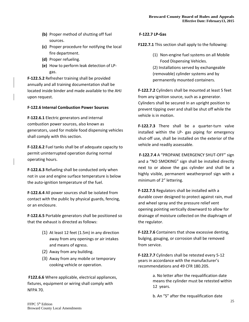- **(b)** Proper method of shutting off fuel sources.
- **(c)** Proper procedure for notifying the local fire department.
- **(d)** Proper refueling.
- **(e)** How to perform leak detection of LP‐ gas.

**F‐122.5.2** Refresher training shall be provided annually and all training documentation shall be located inside binder and made available to the AHJ upon request.

# **F‐122.6 Internal Combustion Power Sources**

**F‐122.6.1** Electric generators and internal combustion power sources, also known as generators, used for mobile food dispensing vehicles shall comply with this section.

**F‐122.6.2** Fuel tanks shall be of adequate capacity to permit uninterrupted operation during normal operating hours.

**F‐122.6.3** Refueling shall be conducted only when not in use and engine surface temperature is below the auto‐ignition temperature of the fuel.

**F‐122.6.4** All power sources shall be isolated from contact with the public by physical guards, fencing, or an enclosure.

**F‐122.6.5** Portable generators shall be positioned so that the exhaust is directed as follows:

- (1) At least 12 feet (1.5m) in any direction away from any openings or air intakes and means of egress.
- (2) Away from any building.
- (3) Away from any mobile or temporary cooking vehicle or operation.

**F122.6.6** Where applicable, electrical appliances, fixtures, equipment or wiring shall comply with NFPA 70.

# **F‐122.7 LP‐Gas**

# **F122.7.1** This section shall apply to the following:

(1) Non‐engine fuel systems on all Mobile Food Dispensing Vehicles. (2) Installations served by exchangeable (removable) cylinder systems and by permanently mounted containers.

**F‐122.7.2** Cylinders shall be mounted at least 5 feet from any ignition source, such as a generator. Cylinders shall be secured in an upright position to prevent tipping over and shall be shut off while the vehicle is in motion.

**F‐122.7.3** There shall be a quarter‐turn valve installed within the LP‐ gas piping for emergency shut‐off use, shall be installed on the exterior of the vehicle and readily assessable.

 **F‐122.7.4** A "PROPANE EMERGENCY SHUT‐OFF" sign and a "NO SMOKING" sign shall be installed directly next to or above the gas cylinder and shall be a highly visible, permanent weatherproof sign with a minimum of 2" lettering.

**F‐122.7.5** Regulators shall be installed with a durable cover designed to protect against rain, mud and wheel spray and the pressure relief vent opening pointing vertically downward to allow for drainage of moisture collected on the diaphragm of the regulator.

**F‐122.7.6** Containers that show excessive denting, bulging, gouging, or corrosion shall be removed from service.

**F‐122.7.7** Cylinders shall be retested every 5‐12 years in accordance with the manufacturer's recommendations and 49 CFR 180.205.

> a. No letter after the requalification date means the cylinder must be retested within 12 years.

b. An "S" after the requalification date